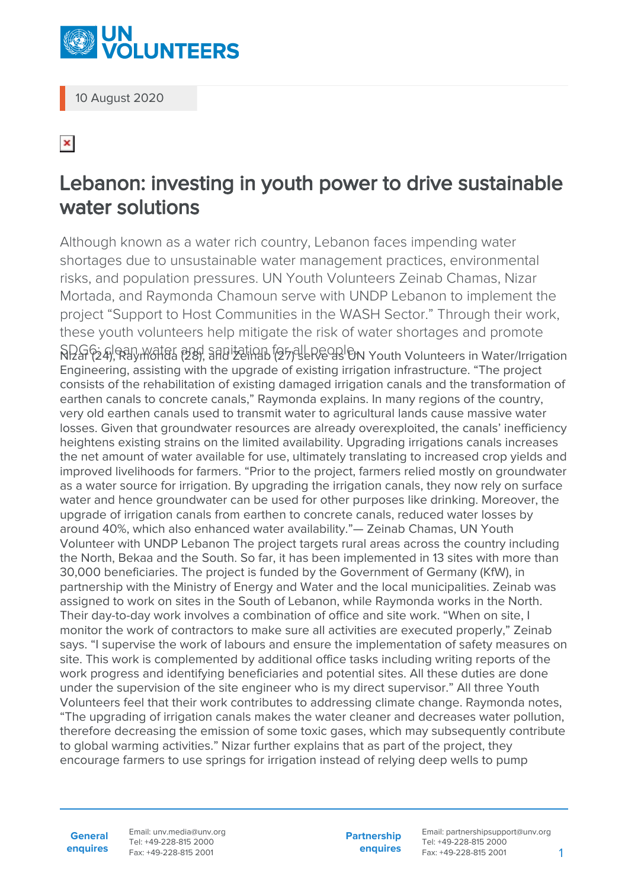

10 August 2020

## $\pmb{\times}$

## Lebanon: investing in youth power to drive sustainable water solutions

Although known as a water rich country, Lebanon faces impending water shortages due to unsustainable water management practices, environmental risks, and population pressures. UN Youth Volunteers Zeinab Chamas, Nizar Mortada, and Raymonda Chamoun serve with UNDP Lebanon to implement the project "Support to Host Communities in the WASH Sector." Through their work, these youth volunteers help mitigate the risk of water shortages and promote  $\overline{S}$ Pan water and sanitation for all people. Youth Volunteers in Water/Irrigation Engineering, assisting with the upgrade of existing irrigation infrastructure. "The project consists of the rehabilitation of existing damaged irrigation canals and the transformation of earthen canals to concrete canals," Raymonda explains. In many regions of the country, very old earthen canals used to transmit water to agricultural lands cause massive water losses. Given that groundwater resources are already overexploited, the canals' inefficiency heightens existing strains on the limited availability. Upgrading irrigations canals increases the net amount of water available for use, ultimately translating to increased crop yields and improved livelihoods for farmers. "Prior to the project, farmers relied mostly on groundwater as a water source for irrigation. By upgrading the irrigation canals, they now rely on surface water and hence groundwater can be used for other purposes like drinking. Moreover, the upgrade of irrigation canals from earthen to concrete canals, reduced water losses by around 40%, which also enhanced water availability."— Zeinab Chamas, UN Youth Volunteer with UNDP Lebanon The project targets rural areas across the country including the North, Bekaa and the South. So far, it has been implemented in 13 sites with more than 30,000 beneficiaries. The project is funded by the Government of Germany (KfW), in partnership with the Ministry of Energy and Water and the local municipalities. Zeinab was assigned to work on sites in the South of Lebanon, while Raymonda works in the North. Their day-to-day work involves a combination of office and site work. "When on site, I monitor the work of contractors to make sure all activities are executed properly," Zeinab says. "I supervise the work of labours and ensure the implementation of safety measures on site. This work is complemented by additional office tasks including writing reports of the work progress and identifying beneficiaries and potential sites. All these duties are done under the supervision of the site engineer who is my direct supervisor." All three Youth Volunteers feel that their work contributes to addressing climate change. Raymonda notes, "The upgrading of irrigation canals makes the water cleaner and decreases water pollution, therefore decreasing the emission of some toxic gases, which may subsequently contribute to global warming activities." Nizar further explains that as part of the project, they encourage farmers to use springs for irrigation instead of relying deep wells to pump

**General enquires** Email: unv.media@unv.org Tel: +49-228-815 2000 Fax: +49-228-815 2001

**Partnership enquires** Email: partnershipsupport@unv.org Tel: +49-228-815 2000 Fax: +49-228-815 2001 1